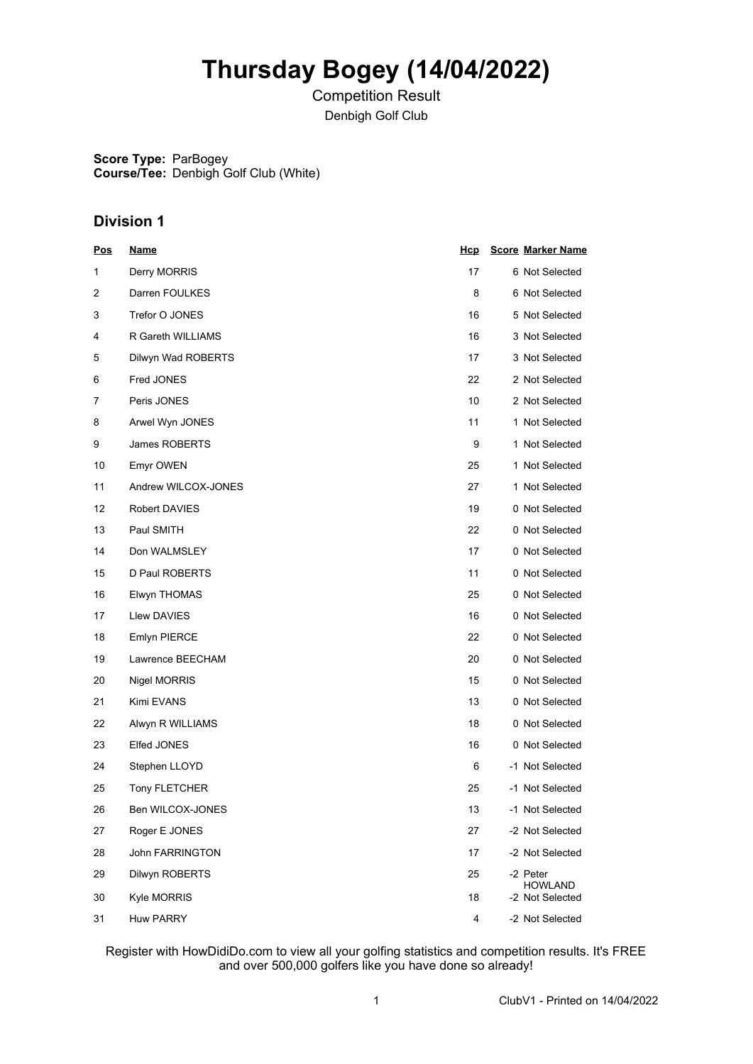# **Thursday Bogey (14/04/2022)**

Competition Result Denbigh Golf Club

**Score Type:** ParBogey **Course/Tee:** Denbigh Golf Club (White)

### **Division 1**

| <u>Pos</u> | <u>Name</u>         | <u>Hcp</u> | <b>Score Marker Name</b>          |
|------------|---------------------|------------|-----------------------------------|
| 1          | Derry MORRIS        | 17         | 6 Not Selected                    |
| 2          | Darren FOULKES      | 8          | 6 Not Selected                    |
| 3          | Trefor O JONES      | 16         | 5 Not Selected                    |
| 4          | R Gareth WILLIAMS   | 16         | 3 Not Selected                    |
| 5          | Dilwyn Wad ROBERTS  | 17         | 3 Not Selected                    |
| 6          | Fred JONES          | 22         | 2 Not Selected                    |
| 7          | Peris JONES         | 10         | 2 Not Selected                    |
| 8          | Arwel Wyn JONES     | 11         | 1 Not Selected                    |
| 9          | James ROBERTS       | 9          | 1 Not Selected                    |
| 10         | Emyr OWEN           | 25         | 1 Not Selected                    |
| 11         | Andrew WILCOX-JONES | 27         | 1 Not Selected                    |
| 12         | Robert DAVIES       | 19         | 0 Not Selected                    |
| 13         | Paul SMITH          | 22         | 0 Not Selected                    |
| 14         | Don WALMSLEY        | 17         | 0 Not Selected                    |
| 15         | D Paul ROBERTS      | 11         | 0 Not Selected                    |
| 16         | Elwyn THOMAS        | 25         | 0 Not Selected                    |
| 17         | Llew DAVIES         | 16         | 0 Not Selected                    |
| 18         | Emlyn PIERCE        | 22         | 0 Not Selected                    |
| 19         | Lawrence BEECHAM    | 20         | 0 Not Selected                    |
| 20         | Nigel MORRIS        | 15         | 0 Not Selected                    |
| 21         | Kimi EVANS          | 13         | 0 Not Selected                    |
| 22         | Alwyn R WILLIAMS    | 18         | 0 Not Selected                    |
| 23         | Elfed JONES         | 16         | 0 Not Selected                    |
| 24         | Stephen LLOYD       | 6          | -1 Not Selected                   |
| 25         | Tony FLETCHER       | 25         | -1 Not Selected                   |
| 26         | Ben WILCOX-JONES    | 13         | -1 Not Selected                   |
| 27         | Roger E JONES       | 27         | -2 Not Selected                   |
| 28         | John FARRINGTON     | 17         | -2 Not Selected                   |
| 29         | Dilwyn ROBERTS      | 25         | -2 Peter                          |
| 30         | Kyle MORRIS         | 18         | <b>HOWLAND</b><br>-2 Not Selected |
| 31         | <b>Huw PARRY</b>    | 4          | -2 Not Selected                   |

Register with HowDidiDo.com to view all your golfing statistics and competition results. It's FREE and over 500,000 golfers like you have done so already!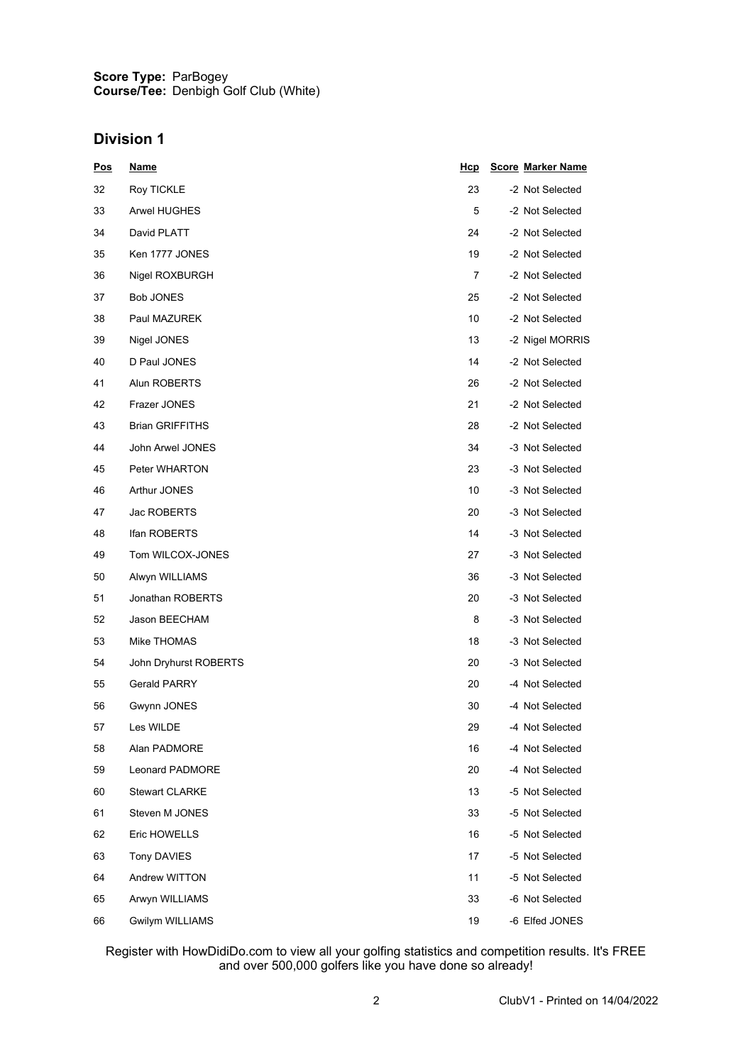#### **Score Type: Course/Tee:** ParBogey Denbigh Golf Club (White)

### **Division 1**

| <u>Pos</u> | <u>Name</u>            | <u>Hcp</u> | <b>Score Marker Name</b> |
|------------|------------------------|------------|--------------------------|
| 32         | Roy TICKLE             | 23         | -2 Not Selected          |
| 33         | <b>Arwel HUGHES</b>    | 5          | -2 Not Selected          |
| 34         | David PLATT            | 24         | -2 Not Selected          |
| 35         | Ken 1777 JONES         | 19         | -2 Not Selected          |
| 36         | Nigel ROXBURGH         | 7          | -2 Not Selected          |
| 37         | <b>Bob JONES</b>       | 25         | -2 Not Selected          |
| 38         | Paul MAZUREK           | 10         | -2 Not Selected          |
| 39         | Nigel JONES            | 13         | -2 Nigel MORRIS          |
| 40         | D Paul JONES           | 14         | -2 Not Selected          |
| 41         | Alun ROBERTS           | 26         | -2 Not Selected          |
| 42         | Frazer JONES           | 21         | -2 Not Selected          |
| 43         | <b>Brian GRIFFITHS</b> | 28         | -2 Not Selected          |
| 44         | John Arwel JONES       | 34         | -3 Not Selected          |
| 45         | Peter WHARTON          | 23         | -3 Not Selected          |
| 46         | Arthur JONES           | 10         | -3 Not Selected          |
| 47         | Jac ROBERTS            | 20         | -3 Not Selected          |
| 48         | Ifan ROBERTS           | 14         | -3 Not Selected          |
| 49         | Tom WILCOX-JONES       | 27         | -3 Not Selected          |
| 50         | Alwyn WILLIAMS         | 36         | -3 Not Selected          |
| 51         | Jonathan ROBERTS       | 20         | -3 Not Selected          |
| 52         | Jason BEECHAM          | 8          | -3 Not Selected          |
| 53         | Mike THOMAS            | 18         | -3 Not Selected          |
| 54         | John Dryhurst ROBERTS  | 20         | -3 Not Selected          |
| 55         | <b>Gerald PARRY</b>    | 20         | -4 Not Selected          |
| 56         | Gwynn JONES            | 30         | -4 Not Selected          |
| 57         | Les WILDE              | 29         | -4 Not Selected          |
| 58         | Alan PADMORE           | 16         | -4 Not Selected          |
| 59         | <b>Leonard PADMORE</b> | 20         | -4 Not Selected          |
| 60         | <b>Stewart CLARKE</b>  | 13         | -5 Not Selected          |
| 61         | Steven M JONES         | 33         | -5 Not Selected          |
| 62         | Eric HOWELLS           | 16         | -5 Not Selected          |
| 63         | <b>Tony DAVIES</b>     | 17         | -5 Not Selected          |
| 64         | Andrew WITTON          | 11         | -5 Not Selected          |
| 65         | Arwyn WILLIAMS         | 33         | -6 Not Selected          |
| 66         | <b>Gwilym WILLIAMS</b> | 19         | -6 Elfed JONES           |

Register with HowDidiDo.com to view all your golfing statistics and competition results. It's FREE and over 500,000 golfers like you have done so already!